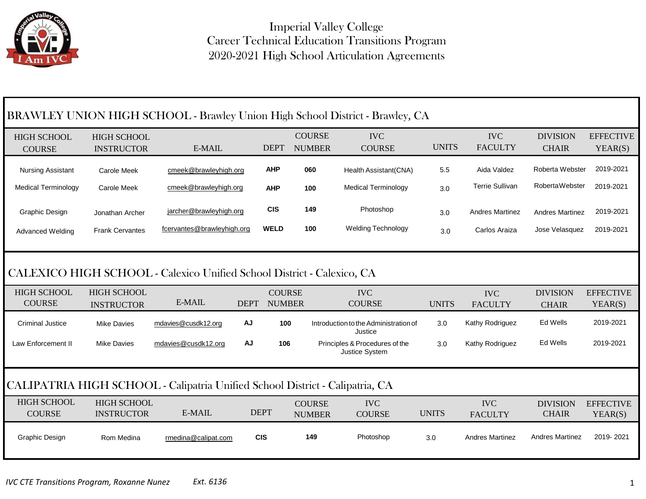

Imperial Valley College Career Technical Education Transitions Program 2020-2021 High School Articulation Agreements

| BRAWLEY UNION HIGH SCHOOL - Brawley Union High School District - Brawley, CA |                                         |                                                                              |             |               |                                |                                                  |              |                              |                                 |                             |
|------------------------------------------------------------------------------|-----------------------------------------|------------------------------------------------------------------------------|-------------|---------------|--------------------------------|--------------------------------------------------|--------------|------------------------------|---------------------------------|-----------------------------|
| <b>HIGH SCHOOL</b><br><b>COURSE</b>                                          | <b>HIGH SCHOOL</b><br><b>INSTRUCTOR</b> | E-MAIL                                                                       |             | <b>DEPT</b>   | <b>COURSE</b><br><b>NUMBER</b> | <b>IVC</b><br><b>COURSE</b>                      | <b>UNITS</b> | <b>IVC</b><br><b>FACULTY</b> | <b>DIVISION</b><br><b>CHAIR</b> | <b>EFFECTIVE</b><br>YEAR(S) |
| <b>Nursing Assistant</b>                                                     | <b>Carole Meek</b>                      | cmeek@brawleyhigh.org                                                        |             | <b>AHP</b>    | 060                            | Health Assistant(CNA)                            | 5.5          | Aida Valdez                  | Roberta Webster                 | 2019-2021                   |
| <b>Medical Terminology</b>                                                   | <b>Carole Meek</b>                      | cmeek@brawleyhigh.org                                                        |             | <b>AHP</b>    | 100                            | <b>Medical Terminology</b>                       | 3.0          | <b>Terrie Sullivan</b>       | <b>RobertaWebster</b>           | 2019-2021                   |
| Graphic Design                                                               | Jonathan Archer                         | jarcher@brawleyhigh.org                                                      |             | <b>CIS</b>    | 149                            | Photoshop                                        | 3.0          | <b>Andres Martinez</b>       | <b>Andres Martinez</b>          | 2019-2021                   |
| Advanced Welding                                                             | <b>Frank Cervantes</b>                  | fcervantes@brawleyhigh.org                                                   |             | <b>WELD</b>   | 100                            | <b>Welding Technology</b>                        | 3.0          | Carlos Araiza                | Jose Velasquez                  | 2019-2021                   |
| CALEXICO HIGH SCHOOL - Calexico Unified School District - Calexico, CA       |                                         |                                                                              |             |               |                                |                                                  |              |                              |                                 |                             |
| <b>HIGH SCHOOL</b>                                                           | <b>HIGH SCHOOL</b>                      |                                                                              |             | <b>COURSE</b> |                                | <b>IVC</b>                                       |              | <b>IVC</b>                   | <b>DIVISION</b>                 |                             |
| <b>COURSE</b>                                                                | <b>INSTRUCTOR</b>                       | E-MAIL                                                                       | <b>DEPT</b> | <b>NUMBER</b> |                                | <b>COURSE</b>                                    | <b>UNITS</b> | <b>FACULTY</b>               | <b>CHAIR</b>                    | <b>EFFECTIVE</b><br>YEAR(S) |
| <b>Criminal Justice</b>                                                      | <b>Mike Davies</b>                      | mdavies@cusdk12.org                                                          | <b>AJ</b>   | 100           |                                | Introduction to the Administration of<br>Justice | 3.0          | Kathy Rodriguez              | Ed Wells                        | 2019-2021                   |
| Law Enforcement II                                                           | <b>Mike Davies</b>                      | mdavies@cusdk12.org                                                          | AJ          | 106           |                                | Principles & Procedures of the<br>Justice System | 3.0          | Kathy Rodriguez              | Ed Wells                        | 2019-2021                   |
|                                                                              |                                         | CALIPATRIA HIGH SCHOOL - Calipatria Unified School District - Calipatria, CA |             |               |                                |                                                  |              |                              |                                 |                             |
| <b>HIGH SCHOOL</b><br><b>COURSE</b>                                          | <b>HIGH SCHOOL</b><br><b>INSTRUCTOR</b> | E-MAIL                                                                       | <b>DEPT</b> |               | <b>COURSE</b><br><b>NUMBER</b> | <b>IVC</b><br><b>COURSE</b>                      | <b>UNITS</b> | <b>IVC</b><br><b>FACULTY</b> | <b>DIVISION</b><br><b>CHAIR</b> | <b>EFFECTIVE</b><br>YEAR(S) |
| Graphic Design                                                               | Rom Medina                              | rmedina@calipat.com                                                          | <b>CIS</b>  |               | 149                            | Photoshop                                        | 3.0          | <b>Andres Martinez</b>       | <b>Andres Martinez</b>          | 2019-2021                   |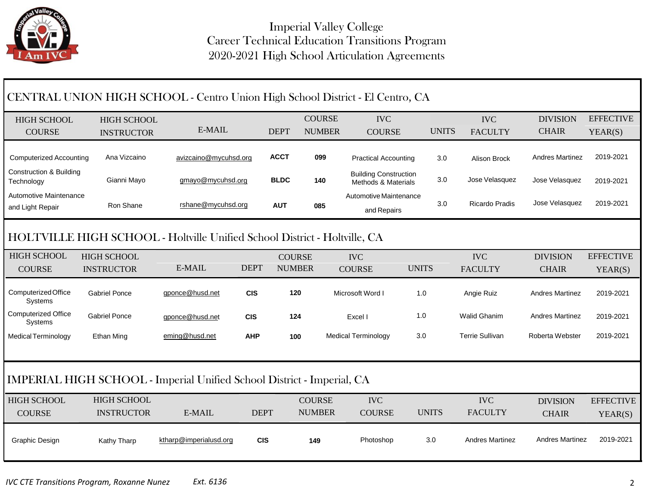

| CENTRAL UNION HIGH SCHOOL - Centro Union High School District - El Centro, CA |                      |                        |             |               |               |                                                     |              |              |                        |                        |                  |
|-------------------------------------------------------------------------------|----------------------|------------------------|-------------|---------------|---------------|-----------------------------------------------------|--------------|--------------|------------------------|------------------------|------------------|
| <b>HIGH SCHOOL</b>                                                            | <b>HIGH SCHOOL</b>   |                        |             |               | <b>COURSE</b> | <b>IVC</b>                                          |              |              | <b>IVC</b>             | <b>DIVISION</b>        | <b>EFFECTIVE</b> |
| <b>COURSE</b>                                                                 | <b>INSTRUCTOR</b>    | E-MAIL                 |             | <b>DEPT</b>   | <b>NUMBER</b> | <b>COURSE</b>                                       |              | <b>UNITS</b> | <b>FACULTY</b>         | <b>CHAIR</b>           | YEAR(S)          |
| <b>Computerized Accounting</b>                                                | Ana Vizcaino         | avizcaino@mycuhsd.org  |             | <b>ACCT</b>   | 099           | <b>Practical Accounting</b>                         |              | 3.0          | Alison Brock           | <b>Andres Martinez</b> | 2019-2021        |
| <b>Construction &amp; Building</b><br>Technology                              | Gianni Mayo          | gmayo@mycuhsd.org      |             | <b>BLDC</b>   | 140           | <b>Building Construction</b><br>Methods & Materials |              | 3.0          | Jose Velasquez         | Jose Velasquez         | 2019-2021        |
| Automotive Maintenance<br>and Light Repair                                    | Ron Shane            | rshane@mycuhsd.org     |             | <b>AUT</b>    | 085           | Automotive Maintenance<br>and Repairs               |              | 3.0          | <b>Ricardo Pradis</b>  | Jose Velasquez         | 2019-2021        |
| HOLTVILLE HIGH SCHOOL - Holtville Unified School District - Holtville, CA     |                      |                        |             |               |               |                                                     |              |              |                        |                        |                  |
| <b>HIGH SCHOOL</b>                                                            | <b>HIGH SCHOOL</b>   |                        |             | <b>COURSE</b> |               | <b>IVC</b>                                          |              |              | <b>IVC</b>             | <b>DIVISION</b>        | <b>EFFECTIVE</b> |
| <b>COURSE</b>                                                                 | <b>INSTRUCTOR</b>    | E-MAIL                 | <b>DEPT</b> | <b>NUMBER</b> |               | <b>COURSE</b>                                       | <b>UNITS</b> |              | <b>FACULTY</b>         | <b>CHAIR</b>           | YEAR(S)          |
| Computerized Office<br>Systems                                                | <b>Gabriel Ponce</b> | gponce@husd.net        | <b>CIS</b>  | 120           |               | Microsoft Word I                                    | 1.0          |              | Angie Ruiz             | <b>Andres Martinez</b> | 2019-2021        |
| <b>Computerized Office</b><br>Systems                                         | <b>Gabriel Ponce</b> | gponce@husd.net        | <b>CIS</b>  | 124           |               | Excel I                                             | 1.0          |              | <b>Walid Ghanim</b>    | <b>Andres Martinez</b> | 2019-2021        |
| Medical Terminology                                                           | <b>Ethan Ming</b>    | eming@husd.net         | <b>AHP</b>  | 100           |               | <b>Medical Terminology</b>                          | 3.0          |              | <b>Terrie Sullivan</b> | Roberta Webster        | 2019-2021        |
| <b>IMPERIAL HIGH SCHOOL - Imperial Unified School District - Imperial, CA</b> |                      |                        |             |               |               |                                                     |              |              |                        |                        |                  |
| <b>HIGH SCHOOL</b>                                                            | <b>HIGH SCHOOL</b>   |                        |             |               | <b>COURSE</b> | <b>IVC</b>                                          |              |              | <b>IVC</b>             | <b>DIVISION</b>        | <b>EFFECTIVE</b> |
| <b>COURSE</b>                                                                 | <b>INSTRUCTOR</b>    | E-MAIL                 | <b>DEPT</b> |               | <b>NUMBER</b> | <b>COURSE</b>                                       |              | <b>UNITS</b> | <b>FACULTY</b>         | <b>CHAIR</b>           | YEAR(S)          |
| Graphic Design                                                                | Kathy Tharp          | ktharp@imperialusd.org | <b>CIS</b>  |               | 149           | Photoshop                                           |              | 3.0          | <b>Andres Martinez</b> | <b>Andres Martinez</b> | 2019-2021        |